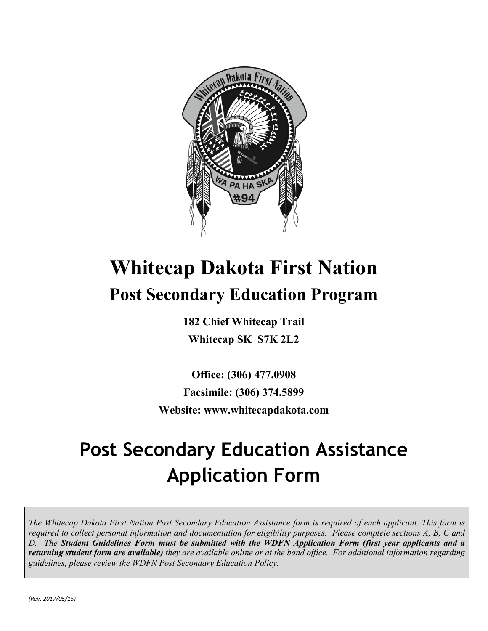

# **Whitecap Dakota First Nation Post Secondary Education Program**

**182 Chief Whitecap Trail Whitecap SK S7K 2L2**

**Office: (306) 477.0908 Facsimile: (306) 374.5899 Website: www.whitecapdakota.com** 

## **Post Secondary Education Assistance Application Form**

*The Whitecap Dakota First Nation Post Secondary Education Assistance form is required of each applicant. This form is required to collect personal information and documentation for eligibility purposes. Please complete sections A, B, C and D. The Student Guidelines Form must be submitted with the WDFN Application Form (first year applicants and a returning student form are available) they are available online or at the band office. For additional information regarding guidelines, please review the WDFN Post Secondary Education Policy.*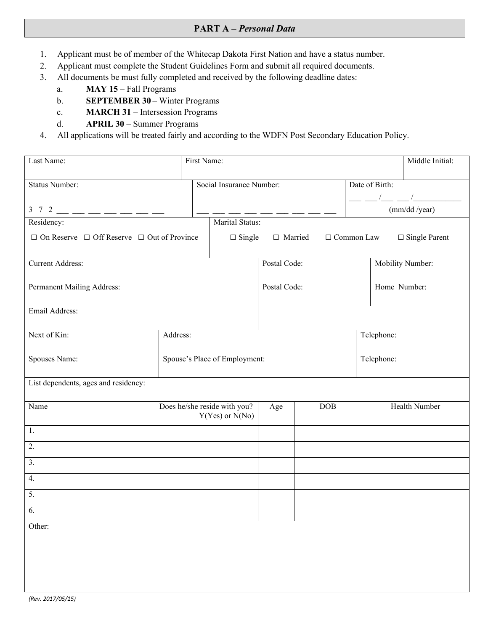#### **PART A** *– Personal Data*

- 1. Applicant must be of member of the Whitecap Dakota First Nation and have a status number.
- 2. Applicant must complete the Student Guidelines Form and submit all required documents.
- 3. All documents be must fully completed and received by the following deadline dates:
	- a. **MAY 15** Fall Programs
	- b. **SEPTEMBER 30** Winter Programs
	- c. **MARCH 31** Intersession Programs
	- d. **APRIL 30** Summer Programs
- 4. All applications will be treated fairly and according to the WDFN Post Secondary Education Policy.

| Last Name:                                                                                                |                              | Middle Initial:<br>First Name: |              |            |                      |                                                                         |
|-----------------------------------------------------------------------------------------------------------|------------------------------|--------------------------------|--------------|------------|----------------------|-------------------------------------------------------------------------|
| <b>Status Number:</b>                                                                                     |                              | Social Insurance Number:       |              |            | Date of Birth:       |                                                                         |
|                                                                                                           |                              |                                |              |            |                      | $\frac{1}{\sqrt{2\pi}}$ $\frac{1}{\sqrt{2\pi}}$ $\frac{1}{\sqrt{2\pi}}$ |
| Residency:                                                                                                |                              | Marital Status:                |              |            |                      | (mm/dd/year)                                                            |
| $\Box$ On Reserve $\Box$ Off Reserve $\Box$ Out of Province<br>$\Box$ Single<br>□ Married<br>□ Common Law |                              |                                |              |            | $\Box$ Single Parent |                                                                         |
| <b>Current Address:</b>                                                                                   |                              |                                | Postal Code: |            |                      | Mobility Number:                                                        |
| Permanent Mailing Address:                                                                                |                              |                                | Postal Code: |            |                      | Home Number:                                                            |
| Email Address:                                                                                            |                              |                                |              |            |                      |                                                                         |
| Next of Kin:                                                                                              | Address:                     |                                |              | Telephone: |                      |                                                                         |
| Spouses Name:                                                                                             |                              | Spouse's Place of Employment:  |              |            | Telephone:           |                                                                         |
| List dependents, ages and residency:                                                                      |                              |                                |              |            |                      |                                                                         |
| Name                                                                                                      | Does he/she reside with you? | $Y(Yes)$ or $N(No)$            | Age          | DOB        |                      | Health Number                                                           |
| 1.                                                                                                        |                              |                                |              |            |                      |                                                                         |
| 2.                                                                                                        |                              |                                |              |            |                      |                                                                         |
| 3.                                                                                                        |                              |                                |              |            |                      |                                                                         |
| 4.                                                                                                        |                              |                                |              |            |                      |                                                                         |
| 5.                                                                                                        |                              |                                |              |            |                      |                                                                         |
| 6.                                                                                                        |                              |                                |              |            |                      |                                                                         |
| Other:                                                                                                    |                              |                                |              |            |                      |                                                                         |
|                                                                                                           |                              |                                |              |            |                      |                                                                         |
|                                                                                                           |                              |                                |              |            |                      |                                                                         |
|                                                                                                           |                              |                                |              |            |                      |                                                                         |
|                                                                                                           |                              |                                |              |            |                      |                                                                         |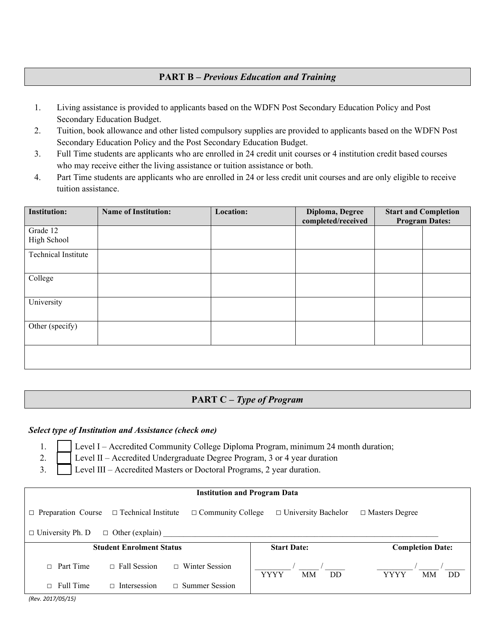#### **PART B** *– Previous Education and Training*

- 1. Living assistance is provided to applicants based on the WDFN Post Secondary Education Policy and Post Secondary Education Budget.
- 2. Tuition, book allowance and other listed compulsory supplies are provided to applicants based on the WDFN Post Secondary Education Policy and the Post Secondary Education Budget.
- 3. Full Time students are applicants who are enrolled in 24 credit unit courses or 4 institution credit based courses who may receive either the living assistance or tuition assistance or both.
- 4. Part Time students are applicants who are enrolled in 24 or less credit unit courses and are only eligible to receive tuition assistance.

| <b>Institution:</b> | <b>Name of Institution:</b> | <b>Location:</b> | Diploma, Degree<br>completed/received | <b>Start and Completion</b><br><b>Program Dates:</b> |  |
|---------------------|-----------------------------|------------------|---------------------------------------|------------------------------------------------------|--|
| Grade 12            |                             |                  |                                       |                                                      |  |
| High School         |                             |                  |                                       |                                                      |  |
| Technical Institute |                             |                  |                                       |                                                      |  |
|                     |                             |                  |                                       |                                                      |  |
| College             |                             |                  |                                       |                                                      |  |
|                     |                             |                  |                                       |                                                      |  |
| University          |                             |                  |                                       |                                                      |  |
|                     |                             |                  |                                       |                                                      |  |
| Other (specify)     |                             |                  |                                       |                                                      |  |
|                     |                             |                  |                                       |                                                      |  |
|                     |                             |                  |                                       |                                                      |  |
|                     |                             |                  |                                       |                                                      |  |

### **PART C** *– Type of Program*

#### *Select type of Institution and Assistance (check one)*

1. | Level I – Accredited Community College Diploma Program, minimum 24 month duration;

- 2.  $\parallel$  Level II Accredited Undergraduate Degree Program, 3 or 4 year duration
- 3. Level III Accredited Masters or Doctoral Programs, 2 year duration.

| <b>Institution and Program Data</b>                  |                        |                          |                                 |                       |
|------------------------------------------------------|------------------------|--------------------------|---------------------------------|-----------------------|
| $\Box$ Preparation Course $\Box$ Technical Institute |                        | $\Box$ Community College | $\Box$ University Bachelor      | $\Box$ Masters Degree |
| $\Box$ University Ph. D                              | $\Box$ Other (explain) |                          |                                 |                       |
| <b>Student Enrolment Status</b>                      |                        | <b>Start Date:</b>       | <b>Completion Date:</b>         |                       |
| $\Box$ Part Time                                     | $\Box$ Fall Session    | $\Box$ Winter Session    | <b>YYYY</b><br><b>MM</b><br>DD. | DD<br>YYYY<br>MМ      |
| Full Time<br>п                                       | $\Box$ Intersession    | $\Box$ Summer Session    |                                 |                       |